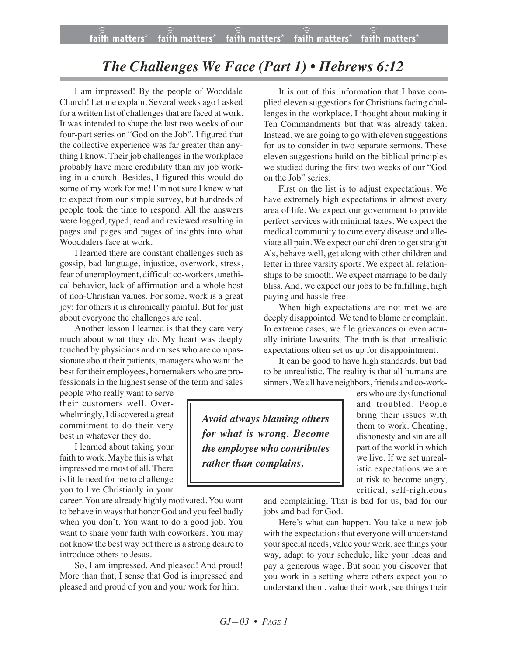## *The Challenges We Face (Part 1) • Hebrews 6:12*

I am impressed! By the people of Wooddale Church! Let me explain. Several weeks ago I asked for a written list of challenges that are faced at work. It was intended to shape the last two weeks of our four-part series on "God on the Job". I figured that the collective experience was far greater than anything I know. Their job challenges in the workplace probably have more credibility than my job working in a church. Besides, I figured this would do some of my work for me! I'm not sure I knew what to expect from our simple survey, but hundreds of people took the time to respond. All the answers were logged, typed, read and reviewed resulting in pages and pages and pages of insights into what Wooddalers face at work.

I learned there are constant challenges such as gossip, bad language, injustice, overwork, stress, fear of unemployment, difficult co-workers, unethical behavior, lack of affirmation and a whole host of non-Christian values. For some, work is a great joy; for others it is chronically painful. But for just about everyone the challenges are real.

Another lesson I learned is that they care very much about what they do. My heart was deeply touched by physicians and nurses who are compassionate about their patients, managers who want the best for their employees, homemakers who are professionals in the highest sense of the term and sales

people who really want to serve their customers well. Overwhelmingly, I discovered a great commitment to do their very best in whatever they do.

I learned about taking your faith to work. Maybe this is what impressed me most of all. There is little need for me to challenge you to live Christianly in your

career. You are already highly motivated. You want to behave in ways that honor God and you feel badly when you don't. You want to do a good job. You want to share your faith with coworkers. You may not know the best way but there is a strong desire to introduce others to Jesus.

So, I am impressed. And pleased! And proud! More than that, I sense that God is impressed and pleased and proud of you and your work for him.

It is out of this information that I have complied eleven suggestions for Christians facing challenges in the workplace. I thought about making it Ten Commandments but that was already taken. Instead, we are going to go with eleven suggestions for us to consider in two separate sermons. These eleven suggestions build on the biblical principles we studied during the first two weeks of our "God on the Job" series.

First on the list is to adjust expectations. We have extremely high expectations in almost every area of life. We expect our government to provide perfect services with minimal taxes. We expect the medical community to cure every disease and alleviate all pain. We expect our children to get straight A's, behave well, get along with other children and letter in three varsity sports. We expect all relationships to be smooth. We expect marriage to be daily bliss. And, we expect our jobs to be fulfilling, high paying and hassle-free.

When high expectations are not met we are deeply disappointed. We tend to blame or complain. In extreme cases, we file grievances or even actually initiate lawsuits. The truth is that unrealistic expectations often set us up for disappointment.

It can be good to have high standards, but bad to be unrealistic. The reality is that all humans are sinners. We all have neighbors, friends and co-work-

*Avoid always blaming others for what is wrong. Become the employee who contributes rather than complains.*

ers who are dysfunctional and troubled. People bring their issues with them to work. Cheating, dishonesty and sin are all part of the world in which we live. If we set unrealistic expectations we are at risk to become angry, critical, self-righteous

and complaining. That is bad for us, bad for our jobs and bad for God.

Here's what can happen. You take a new job with the expectations that everyone will understand your special needs, value your work, see things your way, adapt to your schedule, like your ideas and pay a generous wage. But soon you discover that you work in a setting where others expect you to understand them, value their work, see things their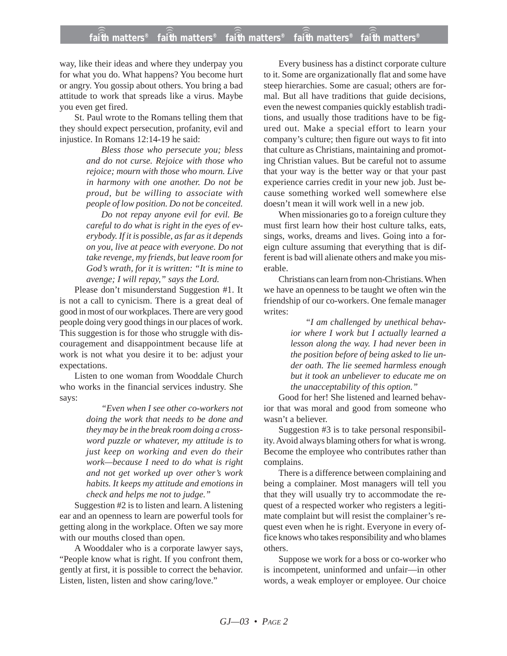way, like their ideas and where they underpay you for what you do. What happens? You become hurt or angry. You gossip about others. You bring a bad attitude to work that spreads like a virus. Maybe you even get fired.

St. Paul wrote to the Romans telling them that they should expect persecution, profanity, evil and injustice. In Romans 12:14-19 he said:

> *Bless those who persecute you; bless and do not curse. Rejoice with those who rejoice; mourn with those who mourn. Live in harmony with one another. Do not be proud, but be willing to associate with people of low position. Do not be conceited.*

> *Do not repay anyone evil for evil. Be careful to do what is right in the eyes of everybody. If it is possible, as far as it depends on you, live at peace with everyone. Do not take revenge, my friends, but leave room for God's wrath, for it is written: "It is mine to avenge; I will repay," says the Lord.*

Please don't misunderstand Suggestion #1. It is not a call to cynicism. There is a great deal of good in most of our workplaces. There are very good people doing very good things in our places of work. This suggestion is for those who struggle with discouragement and disappointment because life at work is not what you desire it to be: adjust your expectations.

Listen to one woman from Wooddale Church who works in the financial services industry. She says:

> *"Even when I see other co-workers not doing the work that needs to be done and they may be in the break room doing a crossword puzzle or whatever, my attitude is to just keep on working and even do their work—because I need to do what is right and not get worked up over other's work habits. It keeps my attitude and emotions in check and helps me not to judge."*

Suggestion #2 is to listen and learn. A listening ear and an openness to learn are powerful tools for getting along in the workplace. Often we say more with our mouths closed than open.

A Wooddaler who is a corporate lawyer says, "People know what is right. If you confront them, gently at first, it is possible to correct the behavior. Listen, listen, listen and show caring/love."

Every business has a distinct corporate culture to it. Some are organizationally flat and some have steep hierarchies. Some are casual; others are formal. But all have traditions that guide decisions, even the newest companies quickly establish traditions, and usually those traditions have to be figured out. Make a special effort to learn your company's culture; then figure out ways to fit into that culture as Christians, maintaining and promoting Christian values. But be careful not to assume that your way is the better way or that your past experience carries credit in your new job. Just because something worked well somewhere else doesn't mean it will work well in a new job.

When missionaries go to a foreign culture they must first learn how their host culture talks, eats, sings, works, dreams and lives. Going into a foreign culture assuming that everything that is different is bad will alienate others and make you miserable.

Christians can learn from non-Christians. When we have an openness to be taught we often win the friendship of our co-workers. One female manager writes:

> *"I am challenged by unethical behavior where I work but I actually learned a lesson along the way. I had never been in the position before of being asked to lie under oath. The lie seemed harmless enough but it took an unbeliever to educate me on the unacceptability of this option."*

Good for her! She listened and learned behavior that was moral and good from someone who wasn't a believer.

Suggestion #3 is to take personal responsibility. Avoid always blaming others for what is wrong. Become the employee who contributes rather than complains.

There is a difference between complaining and being a complainer. Most managers will tell you that they will usually try to accommodate the request of a respected worker who registers a legitimate complaint but will resist the complainer's request even when he is right. Everyone in every office knows who takes responsibility and who blames others.

Suppose we work for a boss or co-worker who is incompetent, uninformed and unfair—in other words, a weak employer or employee. Our choice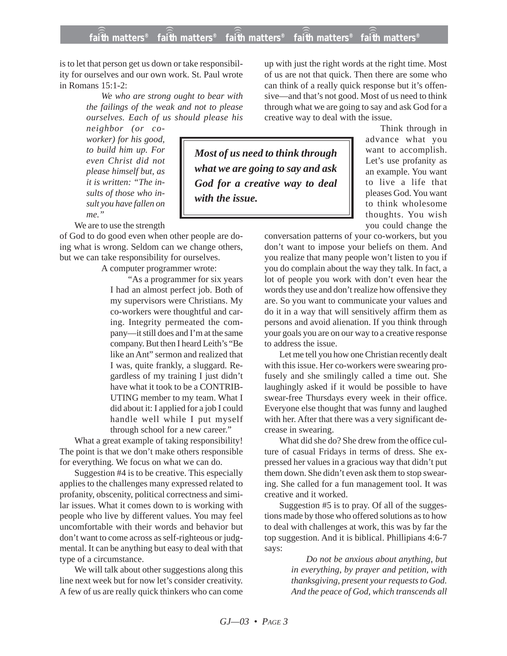is to let that person get us down or take responsibility for ourselves and our own work. St. Paul wrote in Romans 15:1-2:

> *We who are strong ought to bear with the failings of the weak and not to please ourselves. Each of us should please his*

*neighbor (or coworker) for his good, to build him up. For even Christ did not please himself but, as it is written: "The insults of those who insult you have fallen on me."*

We are to use the strength

of God to do good even when other people are doing what is wrong. Seldom can we change others, but we can take responsibility for ourselves.

A computer programmer wrote:

"As a programmer for six years I had an almost perfect job. Both of my supervisors were Christians. My co-workers were thoughtful and caring. Integrity permeated the company—it still does and I'm at the same company. But then I heard Leith's "Be like an Ant" sermon and realized that I was, quite frankly, a sluggard. Regardless of my training I just didn't have what it took to be a CONTRIB-UTING member to my team. What I did about it: I applied for a job I could handle well while I put myself through school for a new career."

What a great example of taking responsibility! The point is that we don't make others responsible for everything. We focus on what we can do.

Suggestion #4 is to be creative. This especially applies to the challenges many expressed related to profanity, obscenity, political correctness and similar issues. What it comes down to is working with people who live by different values. You may feel uncomfortable with their words and behavior but don't want to come across as self-righteous or judgmental. It can be anything but easy to deal with that type of a circumstance.

We will talk about other suggestions along this line next week but for now let's consider creativity. A few of us are really quick thinkers who can come

up with just the right words at the right time. Most of us are not that quick. Then there are some who can think of a really quick response but it's offensive—and that's not good. Most of us need to think through what we are going to say and ask God for a creative way to deal with the issue.

*Most of us need to think through what we are going to say and ask God for a creative way to deal with the issue.*

Think through in advance what you want to accomplish. Let's use profanity as an example. You want to live a life that pleases God. You want to think wholesome thoughts. You wish you could change the

conversation patterns of your co-workers, but you don't want to impose your beliefs on them. And you realize that many people won't listen to you if you do complain about the way they talk. In fact, a lot of people you work with don't even hear the words they use and don't realize how offensive they are. So you want to communicate your values and do it in a way that will sensitively affirm them as persons and avoid alienation. If you think through your goals you are on our way to a creative response to address the issue.

Let me tell you how one Christian recently dealt with this issue. Her co-workers were swearing profusely and she smilingly called a time out. She laughingly asked if it would be possible to have swear-free Thursdays every week in their office. Everyone else thought that was funny and laughed with her. After that there was a very significant decrease in swearing.

What did she do? She drew from the office culture of casual Fridays in terms of dress. She expressed her values in a gracious way that didn't put them down. She didn't even ask them to stop swearing. She called for a fun management tool. It was creative and it worked.

Suggestion #5 is to pray. Of all of the suggestions made by those who offered solutions as to how to deal with challenges at work, this was by far the top suggestion. And it is biblical. Phillipians 4:6-7 says:

> *Do not be anxious about anything, but in everything, by prayer and petition, with thanksgiving, present your requests to God. And the peace of God, which transcends all*